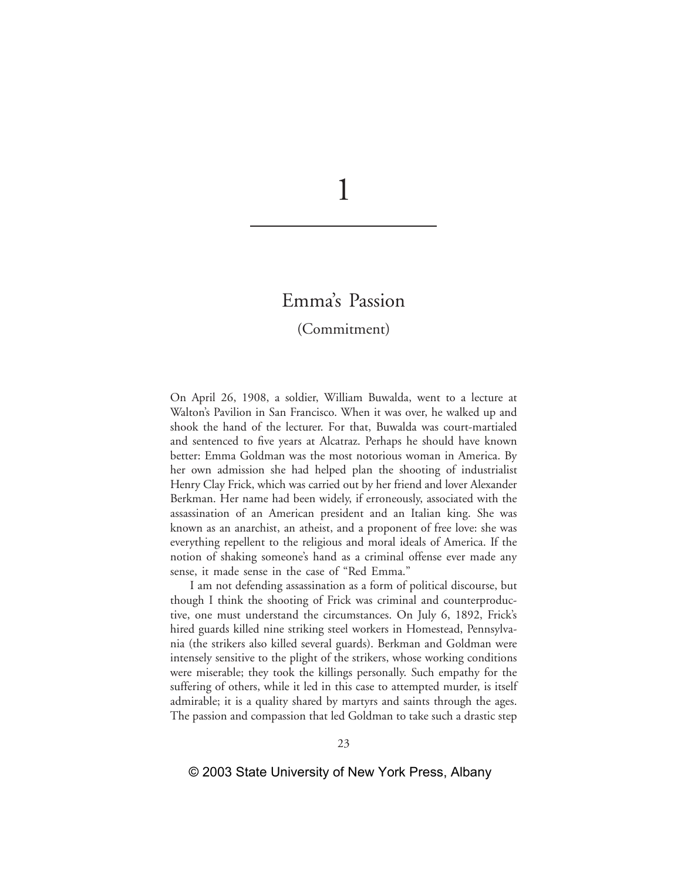# Emma's Passion

## (Commitment)

On April 26, 1908, a soldier, William Buwalda, went to a lecture at Walton's Pavilion in San Francisco. When it was over, he walked up and shook the hand of the lecturer. For that, Buwalda was court-martialed and sentenced to five years at Alcatraz. Perhaps he should have known better: Emma Goldman was the most notorious woman in America. By her own admission she had helped plan the shooting of industrialist Henry Clay Frick, which was carried out by her friend and lover Alexander Berkman. Her name had been widely, if erroneously, associated with the assassination of an American president and an Italian king. She was known as an anarchist, an atheist, and a proponent of free love: she was everything repellent to the religious and moral ideals of America. If the notion of shaking someone's hand as a criminal offense ever made any sense, it made sense in the case of "Red Emma."

I am not defending assassination as a form of political discourse, but though I think the shooting of Frick was criminal and counterproductive, one must understand the circumstances. On July 6, 1892, Frick's hired guards killed nine striking steel workers in Homestead, Pennsylvania (the strikers also killed several guards). Berkman and Goldman were intensely sensitive to the plight of the strikers, whose working conditions were miserable; they took the killings personally. Such empathy for the suffering of others, while it led in this case to attempted murder, is itself admirable; it is a quality shared by martyrs and saints through the ages. The passion and compassion that led Goldman to take such a drastic step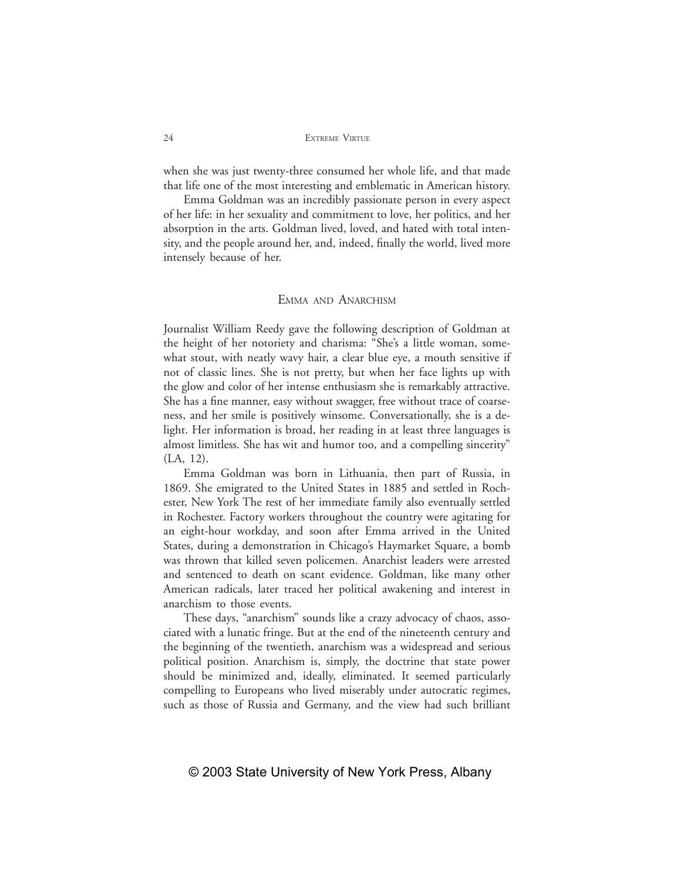when she was just twenty-three consumed her whole life, and that made that life one of the most interesting and emblematic in American history.

Emma Goldman was an incredibly passionate person in every aspect of her life: in her sexuality and commitment to love, her politics, and her absorption in the arts. Goldman lived, loved, and hated with total intensity, and the people around her, and, indeed, finally the world, lived more intensely because of her.

## EMMA AND ANARCHISM

Journalist William Reedy gave the following description of Goldman at the height of her notoriety and charisma: "She's a little woman, somewhat stout, with neatly wavy hair, a clear blue eye, a mouth sensitive if not of classic lines. She is not pretty, but when her face lights up with the glow and color of her intense enthusiasm she is remarkably attractive. She has a fine manner, easy without swagger, free without trace of coarseness, and her smile is positively winsome. Conversationally, she is a delight. Her information is broad, her reading in at least three languages is almost limitless. She has wit and humor too, and a compelling sincerity" (LA, 12).

Emma Goldman was born in Lithuania, then part of Russia, in 1869. She emigrated to the United States in 1885 and settled in Rochester, New York The rest of her immediate family also eventually settled in Rochester. Factory workers throughout the country were agitating for an eight-hour workday, and soon after Emma arrived in the United States, during a demonstration in Chicago's Haymarket Square, a bomb was thrown that killed seven policemen. Anarchist leaders were arrested and sentenced to death on scant evidence. Goldman, like many other American radicals, later traced her political awakening and interest in anarchism to those events.

These days, "anarchism" sounds like a crazy advocacy of chaos, associated with a lunatic fringe. But at the end of the nineteenth century and the beginning of the twentieth, anarchism was a widespread and serious political position. Anarchism is, simply, the doctrine that state power should be minimized and, ideally, eliminated. It seemed particularly compelling to Europeans who lived miserably under autocratic regimes, such as those of Russia and Germany, and the view had such brilliant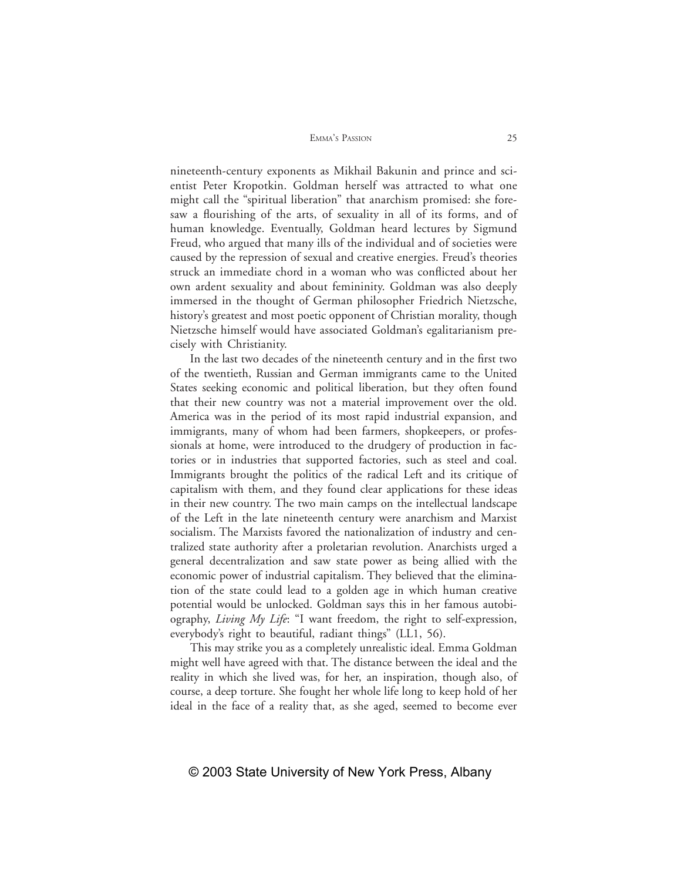nineteenth-century exponents as Mikhail Bakunin and prince and scientist Peter Kropotkin. Goldman herself was attracted to what one might call the "spiritual liberation" that anarchism promised: she foresaw a flourishing of the arts, of sexuality in all of its forms, and of human knowledge. Eventually, Goldman heard lectures by Sigmund Freud, who argued that many ills of the individual and of societies were caused by the repression of sexual and creative energies. Freud's theories struck an immediate chord in a woman who was conflicted about her own ardent sexuality and about femininity. Goldman was also deeply immersed in the thought of German philosopher Friedrich Nietzsche, history's greatest and most poetic opponent of Christian morality, though Nietzsche himself would have associated Goldman's egalitarianism precisely with Christianity.

In the last two decades of the nineteenth century and in the first two of the twentieth, Russian and German immigrants came to the United States seeking economic and political liberation, but they often found that their new country was not a material improvement over the old. America was in the period of its most rapid industrial expansion, and immigrants, many of whom had been farmers, shopkeepers, or professionals at home, were introduced to the drudgery of production in factories or in industries that supported factories, such as steel and coal. Immigrants brought the politics of the radical Left and its critique of capitalism with them, and they found clear applications for these ideas in their new country. The two main camps on the intellectual landscape of the Left in the late nineteenth century were anarchism and Marxist socialism. The Marxists favored the nationalization of industry and centralized state authority after a proletarian revolution. Anarchists urged a general decentralization and saw state power as being allied with the economic power of industrial capitalism. They believed that the elimination of the state could lead to a golden age in which human creative potential would be unlocked. Goldman says this in her famous autobiography, *Living My Life*: "I want freedom, the right to self-expression, everybody's right to beautiful, radiant things" (LL1, 56).

This may strike you as a completely unrealistic ideal. Emma Goldman might well have agreed with that. The distance between the ideal and the reality in which she lived was, for her, an inspiration, though also, of course, a deep torture. She fought her whole life long to keep hold of her ideal in the face of a reality that, as she aged, seemed to become ever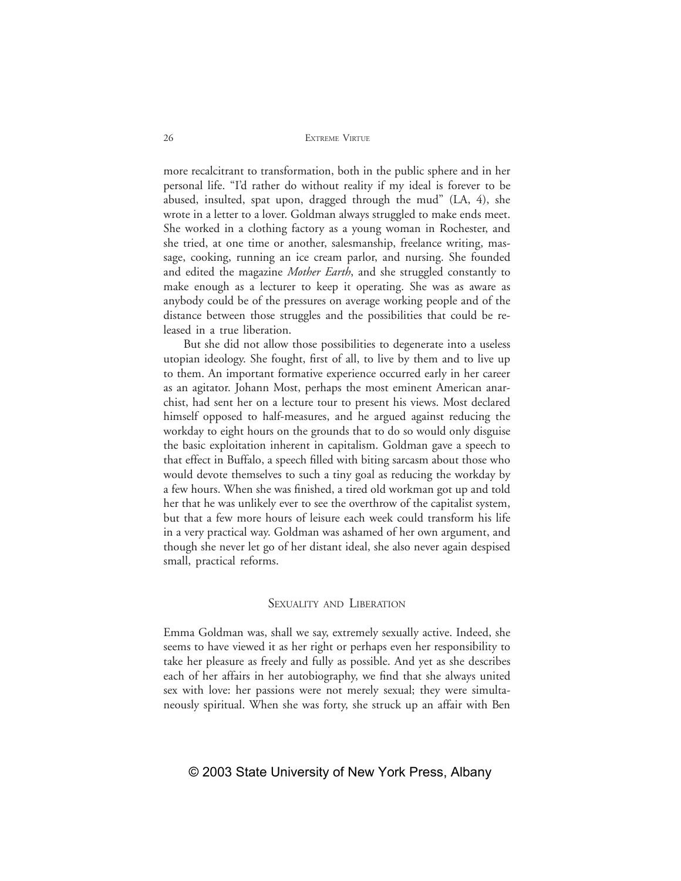more recalcitrant to transformation, both in the public sphere and in her personal life. "I'd rather do without reality if my ideal is forever to be abused, insulted, spat upon, dragged through the mud" (LA, 4), she wrote in a letter to a lover. Goldman always struggled to make ends meet. She worked in a clothing factory as a young woman in Rochester, and she tried, at one time or another, salesmanship, freelance writing, massage, cooking, running an ice cream parlor, and nursing. She founded and edited the magazine *Mother Earth*, and she struggled constantly to make enough as a lecturer to keep it operating. She was as aware as anybody could be of the pressures on average working people and of the distance between those struggles and the possibilities that could be released in a true liberation.

But she did not allow those possibilities to degenerate into a useless utopian ideology. She fought, first of all, to live by them and to live up to them. An important formative experience occurred early in her career as an agitator. Johann Most, perhaps the most eminent American anarchist, had sent her on a lecture tour to present his views. Most declared himself opposed to half-measures, and he argued against reducing the workday to eight hours on the grounds that to do so would only disguise the basic exploitation inherent in capitalism. Goldman gave a speech to that effect in Buffalo, a speech filled with biting sarcasm about those who would devote themselves to such a tiny goal as reducing the workday by a few hours. When she was finished, a tired old workman got up and told her that he was unlikely ever to see the overthrow of the capitalist system, but that a few more hours of leisure each week could transform his life in a very practical way. Goldman was ashamed of her own argument, and though she never let go of her distant ideal, she also never again despised small, practical reforms.

## SEXUALITY AND LIBERATION

Emma Goldman was, shall we say, extremely sexually active. Indeed, she seems to have viewed it as her right or perhaps even her responsibility to take her pleasure as freely and fully as possible. And yet as she describes each of her affairs in her autobiography, we find that she always united sex with love: her passions were not merely sexual; they were simultaneously spiritual. When she was forty, she struck up an affair with Ben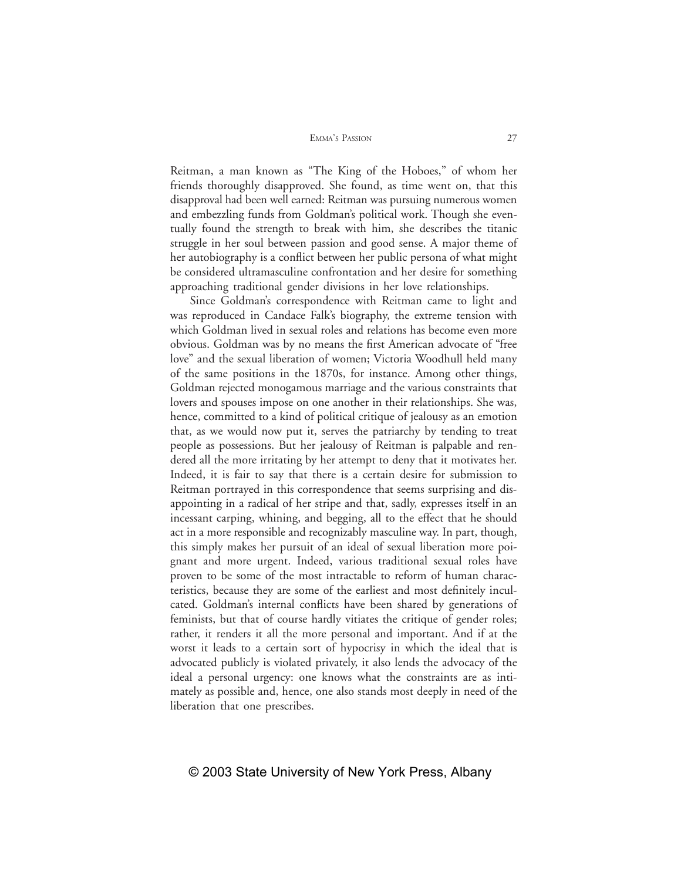Reitman, a man known as "The King of the Hoboes," of whom her friends thoroughly disapproved. She found, as time went on, that this disapproval had been well earned: Reitman was pursuing numerous women and embezzling funds from Goldman's political work. Though she eventually found the strength to break with him, she describes the titanic struggle in her soul between passion and good sense. A major theme of her autobiography is a conflict between her public persona of what might be considered ultramasculine confrontation and her desire for something approaching traditional gender divisions in her love relationships.

Since Goldman's correspondence with Reitman came to light and was reproduced in Candace Falk's biography, the extreme tension with which Goldman lived in sexual roles and relations has become even more obvious. Goldman was by no means the first American advocate of "free love" and the sexual liberation of women; Victoria Woodhull held many of the same positions in the 1870s, for instance. Among other things, Goldman rejected monogamous marriage and the various constraints that lovers and spouses impose on one another in their relationships. She was, hence, committed to a kind of political critique of jealousy as an emotion that, as we would now put it, serves the patriarchy by tending to treat people as possessions. But her jealousy of Reitman is palpable and rendered all the more irritating by her attempt to deny that it motivates her. Indeed, it is fair to say that there is a certain desire for submission to Reitman portrayed in this correspondence that seems surprising and disappointing in a radical of her stripe and that, sadly, expresses itself in an incessant carping, whining, and begging, all to the effect that he should act in a more responsible and recognizably masculine way. In part, though, this simply makes her pursuit of an ideal of sexual liberation more poignant and more urgent. Indeed, various traditional sexual roles have proven to be some of the most intractable to reform of human characteristics, because they are some of the earliest and most definitely inculcated. Goldman's internal conflicts have been shared by generations of feminists, but that of course hardly vitiates the critique of gender roles; rather, it renders it all the more personal and important. And if at the worst it leads to a certain sort of hypocrisy in which the ideal that is advocated publicly is violated privately, it also lends the advocacy of the ideal a personal urgency: one knows what the constraints are as intimately as possible and, hence, one also stands most deeply in need of the liberation that one prescribes.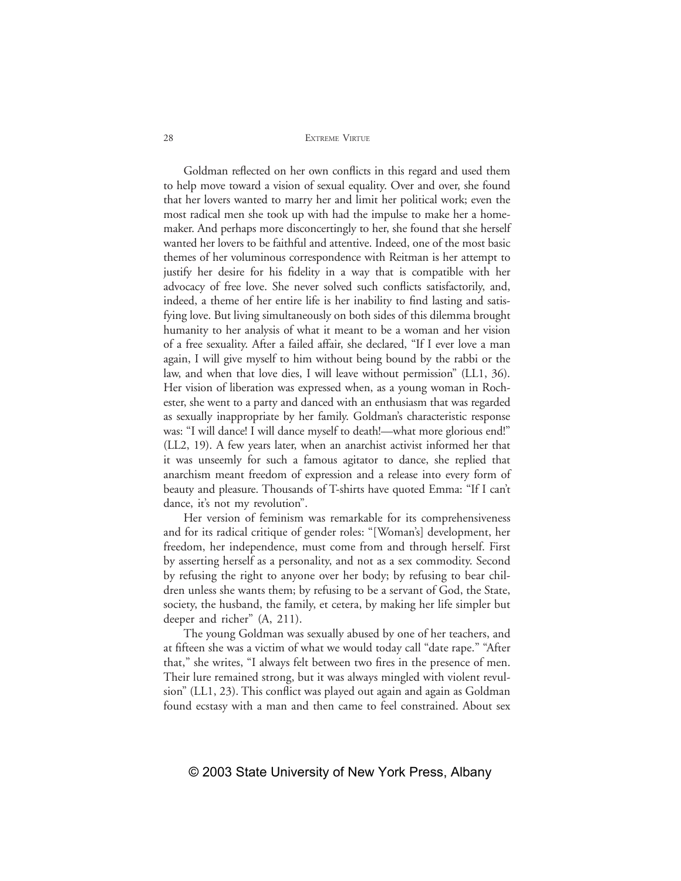Goldman reflected on her own conflicts in this regard and used them to help move toward a vision of sexual equality. Over and over, she found that her lovers wanted to marry her and limit her political work; even the most radical men she took up with had the impulse to make her a homemaker. And perhaps more disconcertingly to her, she found that she herself wanted her lovers to be faithful and attentive. Indeed, one of the most basic themes of her voluminous correspondence with Reitman is her attempt to justify her desire for his fidelity in a way that is compatible with her advocacy of free love. She never solved such conflicts satisfactorily, and, indeed, a theme of her entire life is her inability to find lasting and satisfying love. But living simultaneously on both sides of this dilemma brought humanity to her analysis of what it meant to be a woman and her vision of a free sexuality. After a failed affair, she declared, "If I ever love a man again, I will give myself to him without being bound by the rabbi or the law, and when that love dies, I will leave without permission" (LL1, 36). Her vision of liberation was expressed when, as a young woman in Rochester, she went to a party and danced with an enthusiasm that was regarded as sexually inappropriate by her family. Goldman's characteristic response was: "I will dance! I will dance myself to death!—what more glorious end!" (LL2, 19). A few years later, when an anarchist activist informed her that it was unseemly for such a famous agitator to dance, she replied that anarchism meant freedom of expression and a release into every form of beauty and pleasure. Thousands of T-shirts have quoted Emma: "If I can't dance, it's not my revolution".

Her version of feminism was remarkable for its comprehensiveness and for its radical critique of gender roles: "[Woman's] development, her freedom, her independence, must come from and through herself. First by asserting herself as a personality, and not as a sex commodity. Second by refusing the right to anyone over her body; by refusing to bear children unless she wants them; by refusing to be a servant of God, the State, society, the husband, the family, et cetera, by making her life simpler but deeper and richer" (A, 211).

The young Goldman was sexually abused by one of her teachers, and at fifteen she was a victim of what we would today call "date rape." "After that," she writes, "I always felt between two fires in the presence of men. Their lure remained strong, but it was always mingled with violent revulsion" (LL1, 23). This conflict was played out again and again as Goldman found ecstasy with a man and then came to feel constrained. About sex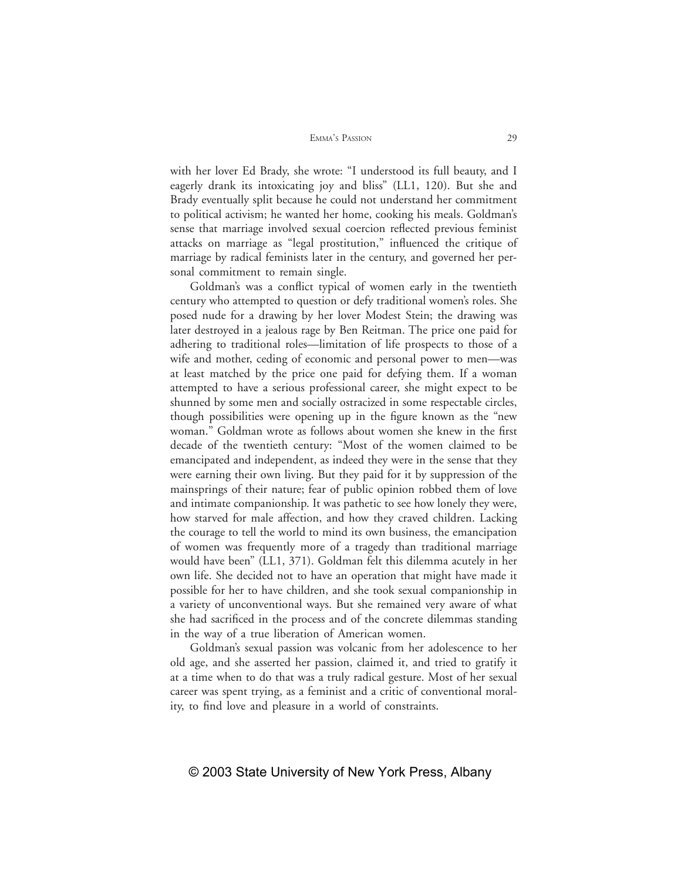with her lover Ed Brady, she wrote: "I understood its full beauty, and I eagerly drank its intoxicating joy and bliss" (LL1, 120). But she and Brady eventually split because he could not understand her commitment to political activism; he wanted her home, cooking his meals. Goldman's sense that marriage involved sexual coercion reflected previous feminist attacks on marriage as "legal prostitution," influenced the critique of marriage by radical feminists later in the century, and governed her personal commitment to remain single.

Goldman's was a conflict typical of women early in the twentieth century who attempted to question or defy traditional women's roles. She posed nude for a drawing by her lover Modest Stein; the drawing was later destroyed in a jealous rage by Ben Reitman. The price one paid for adhering to traditional roles—limitation of life prospects to those of a wife and mother, ceding of economic and personal power to men—was at least matched by the price one paid for defying them. If a woman attempted to have a serious professional career, she might expect to be shunned by some men and socially ostracized in some respectable circles, though possibilities were opening up in the figure known as the "new woman." Goldman wrote as follows about women she knew in the first decade of the twentieth century: "Most of the women claimed to be emancipated and independent, as indeed they were in the sense that they were earning their own living. But they paid for it by suppression of the mainsprings of their nature; fear of public opinion robbed them of love and intimate companionship. It was pathetic to see how lonely they were, how starved for male affection, and how they craved children. Lacking the courage to tell the world to mind its own business, the emancipation of women was frequently more of a tragedy than traditional marriage would have been" (LL1, 371). Goldman felt this dilemma acutely in her own life. She decided not to have an operation that might have made it possible for her to have children, and she took sexual companionship in a variety of unconventional ways. But she remained very aware of what she had sacrificed in the process and of the concrete dilemmas standing in the way of a true liberation of American women.

Goldman's sexual passion was volcanic from her adolescence to her old age, and she asserted her passion, claimed it, and tried to gratify it at a time when to do that was a truly radical gesture. Most of her sexual career was spent trying, as a feminist and a critic of conventional morality, to find love and pleasure in a world of constraints.

## © 2003 State University of New York Press, Albany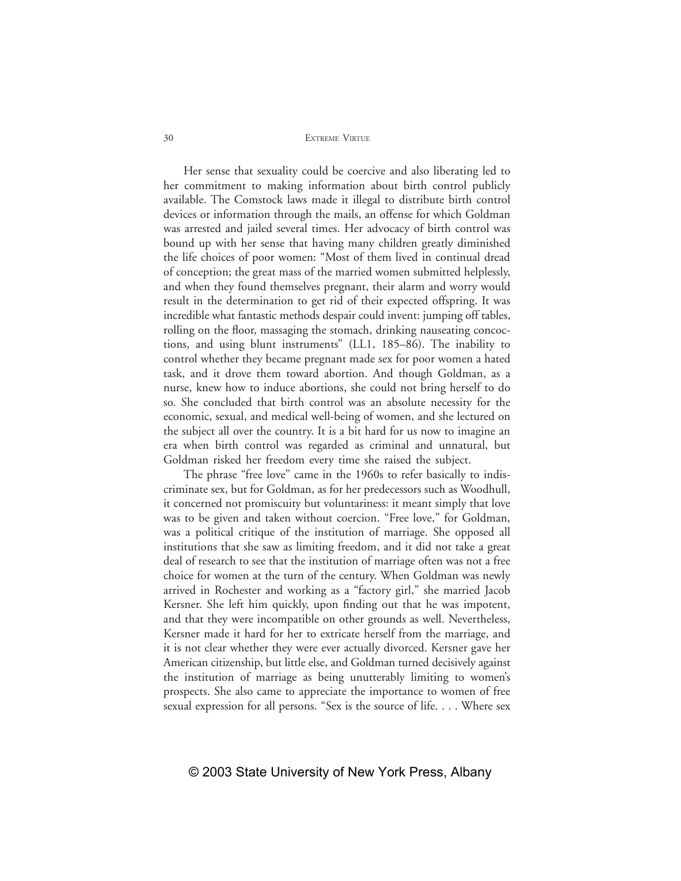Her sense that sexuality could be coercive and also liberating led to her commitment to making information about birth control publicly available. The Comstock laws made it illegal to distribute birth control devices or information through the mails, an offense for which Goldman was arrested and jailed several times. Her advocacy of birth control was bound up with her sense that having many children greatly diminished the life choices of poor women: "Most of them lived in continual dread of conception; the great mass of the married women submitted helplessly, and when they found themselves pregnant, their alarm and worry would result in the determination to get rid of their expected offspring. It was incredible what fantastic methods despair could invent: jumping off tables, rolling on the floor, massaging the stomach, drinking nauseating concoctions, and using blunt instruments" (LL1, 185–86). The inability to control whether they became pregnant made sex for poor women a hated task, and it drove them toward abortion. And though Goldman, as a nurse, knew how to induce abortions, she could not bring herself to do so. She concluded that birth control was an absolute necessity for the economic, sexual, and medical well-being of women, and she lectured on the subject all over the country. It is a bit hard for us now to imagine an era when birth control was regarded as criminal and unnatural, but Goldman risked her freedom every time she raised the subject.

The phrase "free love" came in the 1960s to refer basically to indiscriminate sex, but for Goldman, as for her predecessors such as Woodhull, it concerned not promiscuity but voluntariness: it meant simply that love was to be given and taken without coercion. "Free love," for Goldman, was a political critique of the institution of marriage. She opposed all institutions that she saw as limiting freedom, and it did not take a great deal of research to see that the institution of marriage often was not a free choice for women at the turn of the century. When Goldman was newly arrived in Rochester and working as a "factory girl," she married Jacob Kersner. She left him quickly, upon finding out that he was impotent, and that they were incompatible on other grounds as well. Nevertheless, Kersner made it hard for her to extricate herself from the marriage, and it is not clear whether they were ever actually divorced. Kersner gave her American citizenship, but little else, and Goldman turned decisively against the institution of marriage as being unutterably limiting to women's prospects. She also came to appreciate the importance to women of free sexual expression for all persons. "Sex is the source of life. . . . Where sex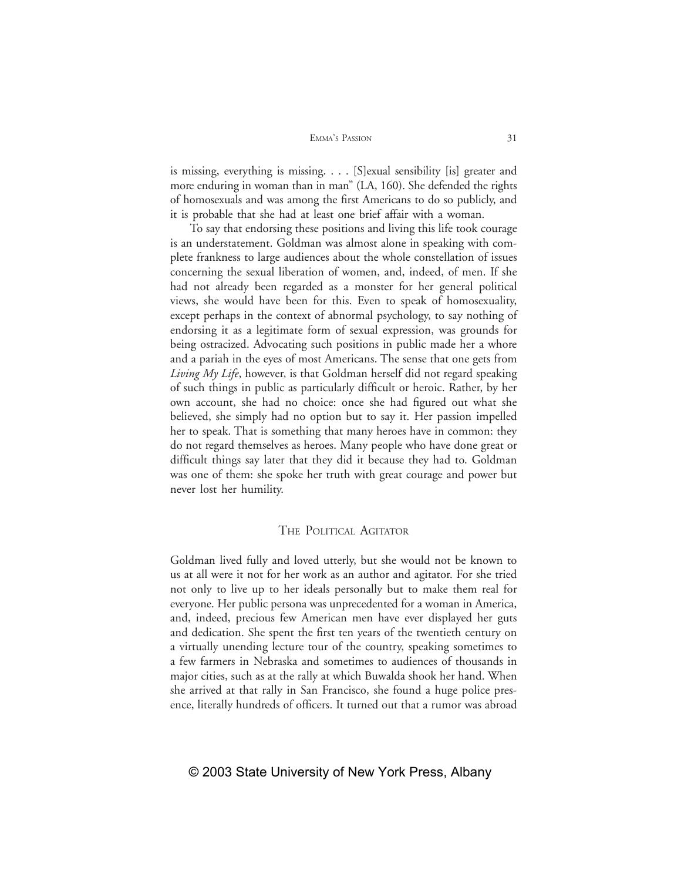is missing, everything is missing. . . . [S]exual sensibility [is] greater and more enduring in woman than in man" (LA, 160). She defended the rights of homosexuals and was among the first Americans to do so publicly, and it is probable that she had at least one brief affair with a woman.

To say that endorsing these positions and living this life took courage is an understatement. Goldman was almost alone in speaking with complete frankness to large audiences about the whole constellation of issues concerning the sexual liberation of women, and, indeed, of men. If she had not already been regarded as a monster for her general political views, she would have been for this. Even to speak of homosexuality, except perhaps in the context of abnormal psychology, to say nothing of endorsing it as a legitimate form of sexual expression, was grounds for being ostracized. Advocating such positions in public made her a whore and a pariah in the eyes of most Americans. The sense that one gets from *Living My Life*, however, is that Goldman herself did not regard speaking of such things in public as particularly difficult or heroic. Rather, by her own account, she had no choice: once she had figured out what she believed, she simply had no option but to say it. Her passion impelled her to speak. That is something that many heroes have in common: they do not regard themselves as heroes. Many people who have done great or difficult things say later that they did it because they had to. Goldman was one of them: she spoke her truth with great courage and power but never lost her humility.

## THE POLITICAL AGITATOR

Goldman lived fully and loved utterly, but she would not be known to us at all were it not for her work as an author and agitator. For she tried not only to live up to her ideals personally but to make them real for everyone. Her public persona was unprecedented for a woman in America, and, indeed, precious few American men have ever displayed her guts and dedication. She spent the first ten years of the twentieth century on a virtually unending lecture tour of the country, speaking sometimes to a few farmers in Nebraska and sometimes to audiences of thousands in major cities, such as at the rally at which Buwalda shook her hand. When she arrived at that rally in San Francisco, she found a huge police presence, literally hundreds of officers. It turned out that a rumor was abroad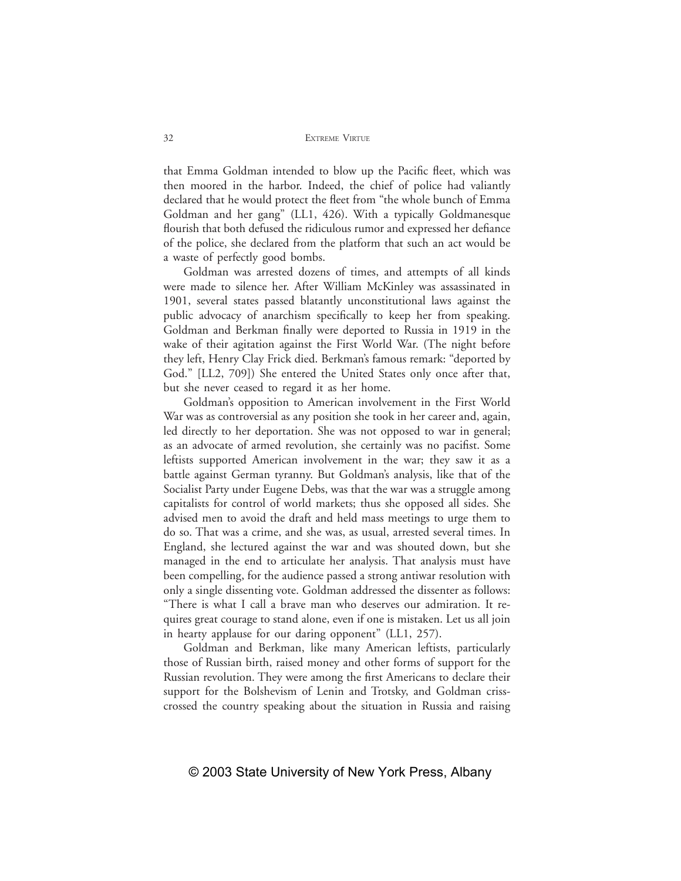that Emma Goldman intended to blow up the Pacific fleet, which was then moored in the harbor. Indeed, the chief of police had valiantly declared that he would protect the fleet from "the whole bunch of Emma Goldman and her gang" (LL1, 426). With a typically Goldmanesque flourish that both defused the ridiculous rumor and expressed her defiance of the police, she declared from the platform that such an act would be a waste of perfectly good bombs.

Goldman was arrested dozens of times, and attempts of all kinds were made to silence her. After William McKinley was assassinated in 1901, several states passed blatantly unconstitutional laws against the public advocacy of anarchism specifically to keep her from speaking. Goldman and Berkman finally were deported to Russia in 1919 in the wake of their agitation against the First World War. (The night before they left, Henry Clay Frick died. Berkman's famous remark: "deported by God." [LL2, 709]) She entered the United States only once after that, but she never ceased to regard it as her home.

Goldman's opposition to American involvement in the First World War was as controversial as any position she took in her career and, again, led directly to her deportation. She was not opposed to war in general; as an advocate of armed revolution, she certainly was no pacifist. Some leftists supported American involvement in the war; they saw it as a battle against German tyranny. But Goldman's analysis, like that of the Socialist Party under Eugene Debs, was that the war was a struggle among capitalists for control of world markets; thus she opposed all sides. She advised men to avoid the draft and held mass meetings to urge them to do so. That was a crime, and she was, as usual, arrested several times. In England, she lectured against the war and was shouted down, but she managed in the end to articulate her analysis. That analysis must have been compelling, for the audience passed a strong antiwar resolution with only a single dissenting vote. Goldman addressed the dissenter as follows: "There is what I call a brave man who deserves our admiration. It requires great courage to stand alone, even if one is mistaken. Let us all join in hearty applause for our daring opponent" (LL1, 257).

Goldman and Berkman, like many American leftists, particularly those of Russian birth, raised money and other forms of support for the Russian revolution. They were among the first Americans to declare their support for the Bolshevism of Lenin and Trotsky, and Goldman crisscrossed the country speaking about the situation in Russia and raising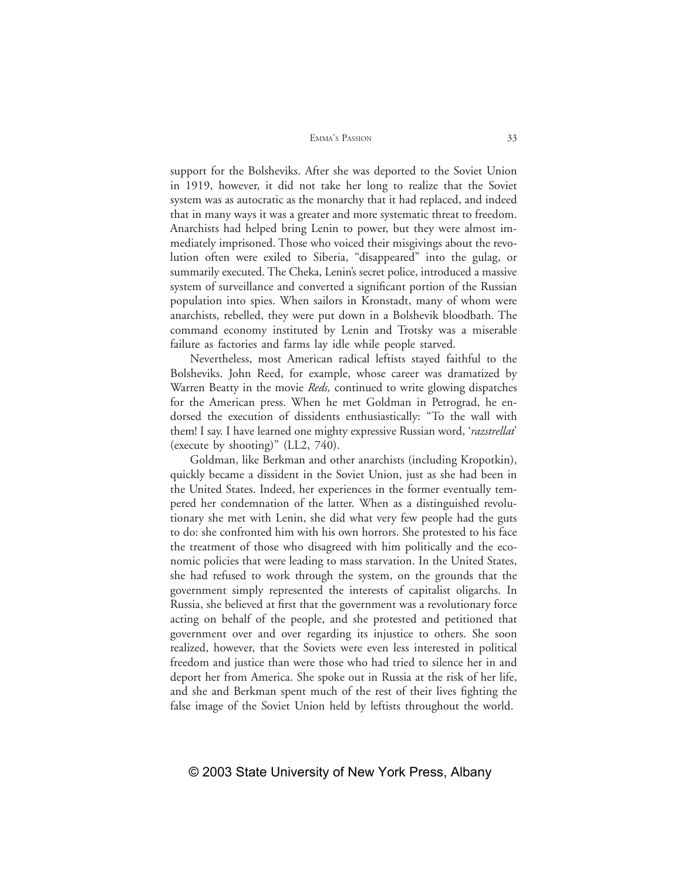support for the Bolsheviks. After she was deported to the Soviet Union in 1919, however, it did not take her long to realize that the Soviet system was as autocratic as the monarchy that it had replaced, and indeed that in many ways it was a greater and more systematic threat to freedom. Anarchists had helped bring Lenin to power, but they were almost immediately imprisoned. Those who voiced their misgivings about the revolution often were exiled to Siberia, "disappeared" into the gulag, or summarily executed. The Cheka, Lenin's secret police, introduced a massive system of surveillance and converted a significant portion of the Russian population into spies. When sailors in Kronstadt, many of whom were anarchists, rebelled, they were put down in a Bolshevik bloodbath. The command economy instituted by Lenin and Trotsky was a miserable failure as factories and farms lay idle while people starved.

Nevertheless, most American radical leftists stayed faithful to the Bolsheviks. John Reed, for example, whose career was dramatized by Warren Beatty in the movie *Reds,* continued to write glowing dispatches for the American press. When he met Goldman in Petrograd, he endorsed the execution of dissidents enthusiastically: "To the wall with them! I say. I have learned one mighty expressive Russian word, '*razstrellat*' (execute by shooting)" (LL2, 740).

Goldman, like Berkman and other anarchists (including Kropotkin), quickly became a dissident in the Soviet Union, just as she had been in the United States. Indeed, her experiences in the former eventually tempered her condemnation of the latter. When as a distinguished revolutionary she met with Lenin, she did what very few people had the guts to do: she confronted him with his own horrors. She protested to his face the treatment of those who disagreed with him politically and the economic policies that were leading to mass starvation. In the United States, she had refused to work through the system, on the grounds that the government simply represented the interests of capitalist oligarchs. In Russia, she believed at first that the government was a revolutionary force acting on behalf of the people, and she protested and petitioned that government over and over regarding its injustice to others. She soon realized, however, that the Soviets were even less interested in political freedom and justice than were those who had tried to silence her in and deport her from America. She spoke out in Russia at the risk of her life, and she and Berkman spent much of the rest of their lives fighting the false image of the Soviet Union held by leftists throughout the world.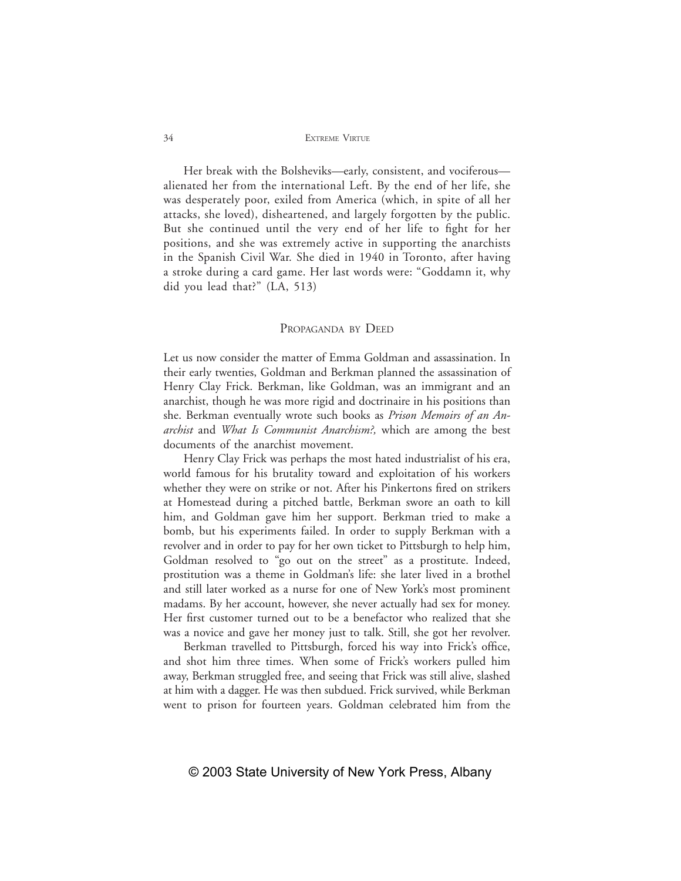Her break with the Bolsheviks—early, consistent, and vociferous alienated her from the international Left. By the end of her life, she was desperately poor, exiled from America (which, in spite of all her attacks, she loved), disheartened, and largely forgotten by the public. But she continued until the very end of her life to fight for her positions, and she was extremely active in supporting the anarchists in the Spanish Civil War. She died in 1940 in Toronto, after having a stroke during a card game. Her last words were: "Goddamn it, why did you lead that?" (LA, 513)

## PROPAGANDA BY DEED

Let us now consider the matter of Emma Goldman and assassination. In their early twenties, Goldman and Berkman planned the assassination of Henry Clay Frick. Berkman, like Goldman, was an immigrant and an anarchist, though he was more rigid and doctrinaire in his positions than she. Berkman eventually wrote such books as *Prison Memoirs of an Anarchist* and *What Is Communist Anarchism?,* which are among the best documents of the anarchist movement.

Henry Clay Frick was perhaps the most hated industrialist of his era, world famous for his brutality toward and exploitation of his workers whether they were on strike or not. After his Pinkertons fired on strikers at Homestead during a pitched battle, Berkman swore an oath to kill him, and Goldman gave him her support. Berkman tried to make a bomb, but his experiments failed. In order to supply Berkman with a revolver and in order to pay for her own ticket to Pittsburgh to help him, Goldman resolved to "go out on the street" as a prostitute. Indeed, prostitution was a theme in Goldman's life: she later lived in a brothel and still later worked as a nurse for one of New York's most prominent madams. By her account, however, she never actually had sex for money. Her first customer turned out to be a benefactor who realized that she was a novice and gave her money just to talk. Still, she got her revolver.

Berkman travelled to Pittsburgh, forced his way into Frick's office, and shot him three times. When some of Frick's workers pulled him away, Berkman struggled free, and seeing that Frick was still alive, slashed at him with a dagger. He was then subdued. Frick survived, while Berkman went to prison for fourteen years. Goldman celebrated him from the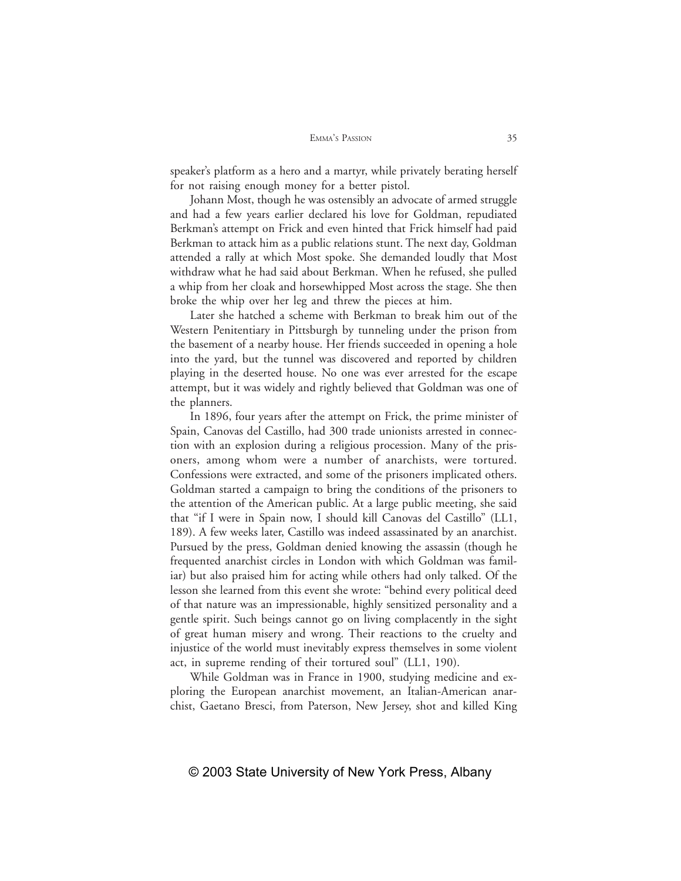speaker's platform as a hero and a martyr, while privately berating herself for not raising enough money for a better pistol.

Johann Most, though he was ostensibly an advocate of armed struggle and had a few years earlier declared his love for Goldman, repudiated Berkman's attempt on Frick and even hinted that Frick himself had paid Berkman to attack him as a public relations stunt. The next day, Goldman attended a rally at which Most spoke. She demanded loudly that Most withdraw what he had said about Berkman. When he refused, she pulled a whip from her cloak and horsewhipped Most across the stage. She then broke the whip over her leg and threw the pieces at him.

Later she hatched a scheme with Berkman to break him out of the Western Penitentiary in Pittsburgh by tunneling under the prison from the basement of a nearby house. Her friends succeeded in opening a hole into the yard, but the tunnel was discovered and reported by children playing in the deserted house. No one was ever arrested for the escape attempt, but it was widely and rightly believed that Goldman was one of the planners.

In 1896, four years after the attempt on Frick, the prime minister of Spain, Canovas del Castillo, had 300 trade unionists arrested in connection with an explosion during a religious procession. Many of the prisoners, among whom were a number of anarchists, were tortured. Confessions were extracted, and some of the prisoners implicated others. Goldman started a campaign to bring the conditions of the prisoners to the attention of the American public. At a large public meeting, she said that "if I were in Spain now, I should kill Canovas del Castillo" (LL1, 189). A few weeks later, Castillo was indeed assassinated by an anarchist. Pursued by the press, Goldman denied knowing the assassin (though he frequented anarchist circles in London with which Goldman was familiar) but also praised him for acting while others had only talked. Of the lesson she learned from this event she wrote: "behind every political deed of that nature was an impressionable, highly sensitized personality and a gentle spirit. Such beings cannot go on living complacently in the sight of great human misery and wrong. Their reactions to the cruelty and injustice of the world must inevitably express themselves in some violent act, in supreme rending of their tortured soul" (LL1, 190).

While Goldman was in France in 1900, studying medicine and exploring the European anarchist movement, an Italian-American anarchist, Gaetano Bresci, from Paterson, New Jersey, shot and killed King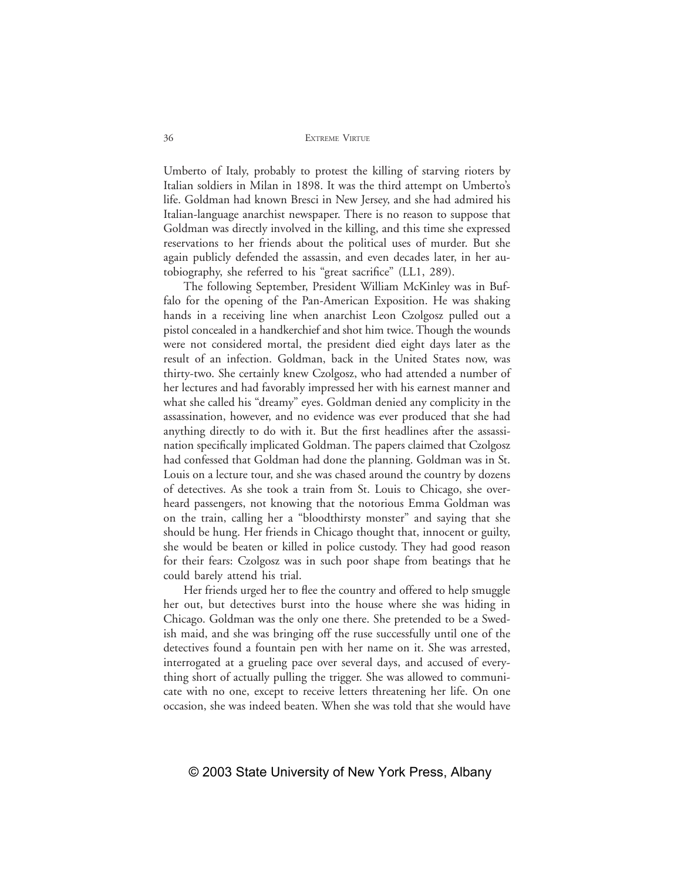Umberto of Italy, probably to protest the killing of starving rioters by Italian soldiers in Milan in 1898. It was the third attempt on Umberto's life. Goldman had known Bresci in New Jersey, and she had admired his Italian-language anarchist newspaper. There is no reason to suppose that Goldman was directly involved in the killing, and this time she expressed reservations to her friends about the political uses of murder. But she again publicly defended the assassin, and even decades later, in her autobiography, she referred to his "great sacrifice" (LL1, 289).

The following September, President William McKinley was in Buffalo for the opening of the Pan-American Exposition. He was shaking hands in a receiving line when anarchist Leon Czolgosz pulled out a pistol concealed in a handkerchief and shot him twice. Though the wounds were not considered mortal, the president died eight days later as the result of an infection. Goldman, back in the United States now, was thirty-two. She certainly knew Czolgosz, who had attended a number of her lectures and had favorably impressed her with his earnest manner and what she called his "dreamy" eyes. Goldman denied any complicity in the assassination, however, and no evidence was ever produced that she had anything directly to do with it. But the first headlines after the assassination specifically implicated Goldman. The papers claimed that Czolgosz had confessed that Goldman had done the planning. Goldman was in St. Louis on a lecture tour, and she was chased around the country by dozens of detectives. As she took a train from St. Louis to Chicago, she overheard passengers, not knowing that the notorious Emma Goldman was on the train, calling her a "bloodthirsty monster" and saying that she should be hung. Her friends in Chicago thought that, innocent or guilty, she would be beaten or killed in police custody. They had good reason for their fears: Czolgosz was in such poor shape from beatings that he could barely attend his trial.

Her friends urged her to flee the country and offered to help smuggle her out, but detectives burst into the house where she was hiding in Chicago. Goldman was the only one there. She pretended to be a Swedish maid, and she was bringing off the ruse successfully until one of the detectives found a fountain pen with her name on it. She was arrested, interrogated at a grueling pace over several days, and accused of everything short of actually pulling the trigger. She was allowed to communicate with no one, except to receive letters threatening her life. On one occasion, she was indeed beaten. When she was told that she would have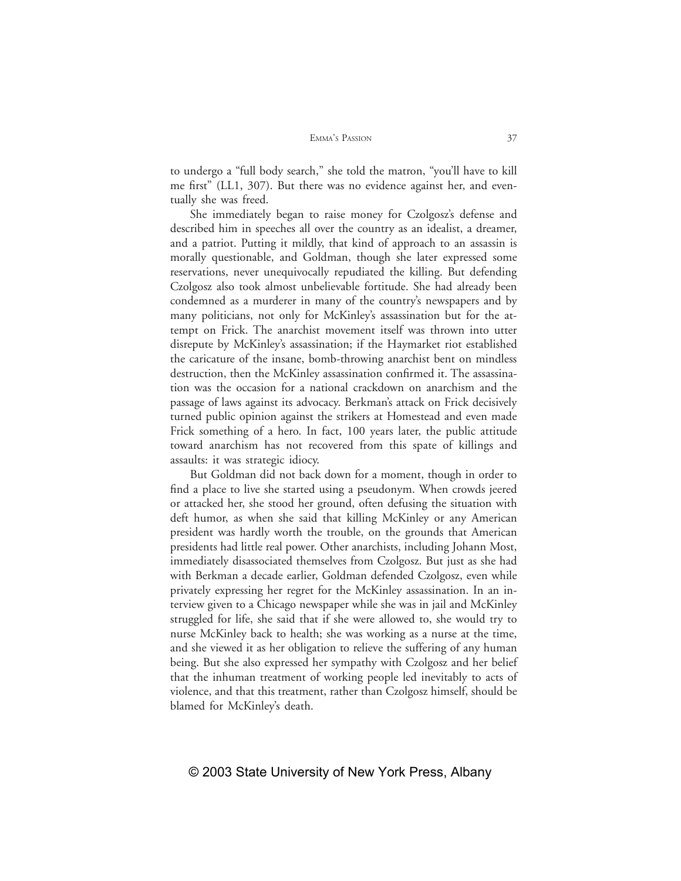to undergo a "full body search," she told the matron, "you'll have to kill me first" (LL1, 307). But there was no evidence against her, and eventually she was freed.

She immediately began to raise money for Czolgosz's defense and described him in speeches all over the country as an idealist, a dreamer, and a patriot. Putting it mildly, that kind of approach to an assassin is morally questionable, and Goldman, though she later expressed some reservations, never unequivocally repudiated the killing. But defending Czolgosz also took almost unbelievable fortitude. She had already been condemned as a murderer in many of the country's newspapers and by many politicians, not only for McKinley's assassination but for the attempt on Frick. The anarchist movement itself was thrown into utter disrepute by McKinley's assassination; if the Haymarket riot established the caricature of the insane, bomb-throwing anarchist bent on mindless destruction, then the McKinley assassination confirmed it. The assassination was the occasion for a national crackdown on anarchism and the passage of laws against its advocacy. Berkman's attack on Frick decisively turned public opinion against the strikers at Homestead and even made Frick something of a hero. In fact, 100 years later, the public attitude toward anarchism has not recovered from this spate of killings and assaults: it was strategic idiocy.

But Goldman did not back down for a moment, though in order to find a place to live she started using a pseudonym. When crowds jeered or attacked her, she stood her ground, often defusing the situation with deft humor, as when she said that killing McKinley or any American president was hardly worth the trouble, on the grounds that American presidents had little real power. Other anarchists, including Johann Most, immediately disassociated themselves from Czolgosz. But just as she had with Berkman a decade earlier, Goldman defended Czolgosz, even while privately expressing her regret for the McKinley assassination. In an interview given to a Chicago newspaper while she was in jail and McKinley struggled for life, she said that if she were allowed to, she would try to nurse McKinley back to health; she was working as a nurse at the time, and she viewed it as her obligation to relieve the suffering of any human being. But she also expressed her sympathy with Czolgosz and her belief that the inhuman treatment of working people led inevitably to acts of violence, and that this treatment, rather than Czolgosz himself, should be blamed for McKinley's death.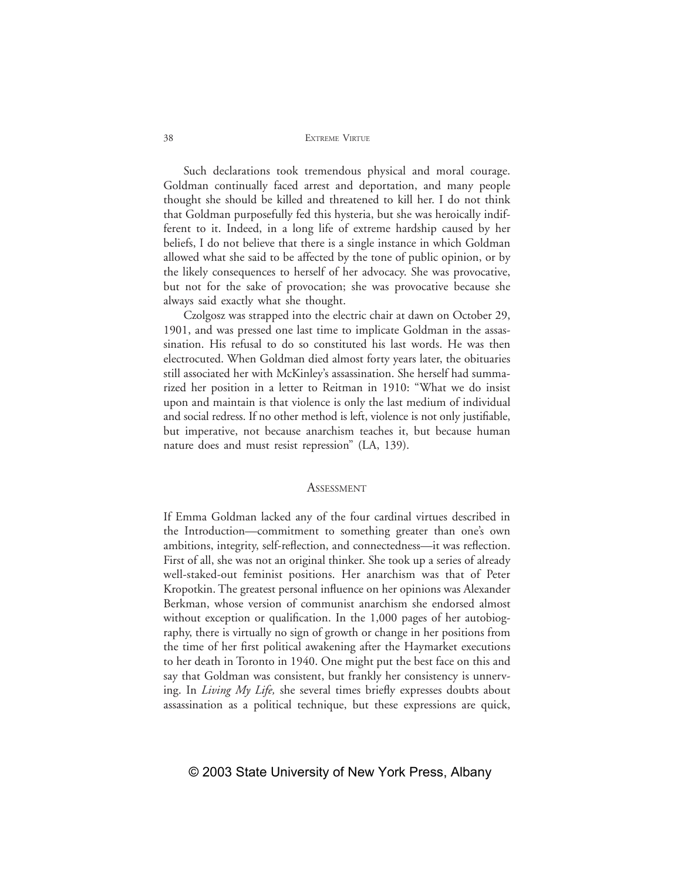Such declarations took tremendous physical and moral courage. Goldman continually faced arrest and deportation, and many people thought she should be killed and threatened to kill her. I do not think that Goldman purposefully fed this hysteria, but she was heroically indifferent to it. Indeed, in a long life of extreme hardship caused by her beliefs, I do not believe that there is a single instance in which Goldman allowed what she said to be affected by the tone of public opinion, or by the likely consequences to herself of her advocacy. She was provocative, but not for the sake of provocation; she was provocative because she always said exactly what she thought.

Czolgosz was strapped into the electric chair at dawn on October 29, 1901, and was pressed one last time to implicate Goldman in the assassination. His refusal to do so constituted his last words. He was then electrocuted. When Goldman died almost forty years later, the obituaries still associated her with McKinley's assassination. She herself had summarized her position in a letter to Reitman in 1910: "What we do insist upon and maintain is that violence is only the last medium of individual and social redress. If no other method is left, violence is not only justifiable, but imperative, not because anarchism teaches it, but because human nature does and must resist repression" (LA, 139).

#### **ASSESSMENT**

If Emma Goldman lacked any of the four cardinal virtues described in the Introduction—commitment to something greater than one's own ambitions, integrity, self-reflection, and connectedness—it was reflection. First of all, she was not an original thinker. She took up a series of already well-staked-out feminist positions. Her anarchism was that of Peter Kropotkin. The greatest personal influence on her opinions was Alexander Berkman, whose version of communist anarchism she endorsed almost without exception or qualification. In the 1,000 pages of her autobiography, there is virtually no sign of growth or change in her positions from the time of her first political awakening after the Haymarket executions to her death in Toronto in 1940. One might put the best face on this and say that Goldman was consistent, but frankly her consistency is unnerving. In *Living My Life,* she several times briefly expresses doubts about assassination as a political technique, but these expressions are quick,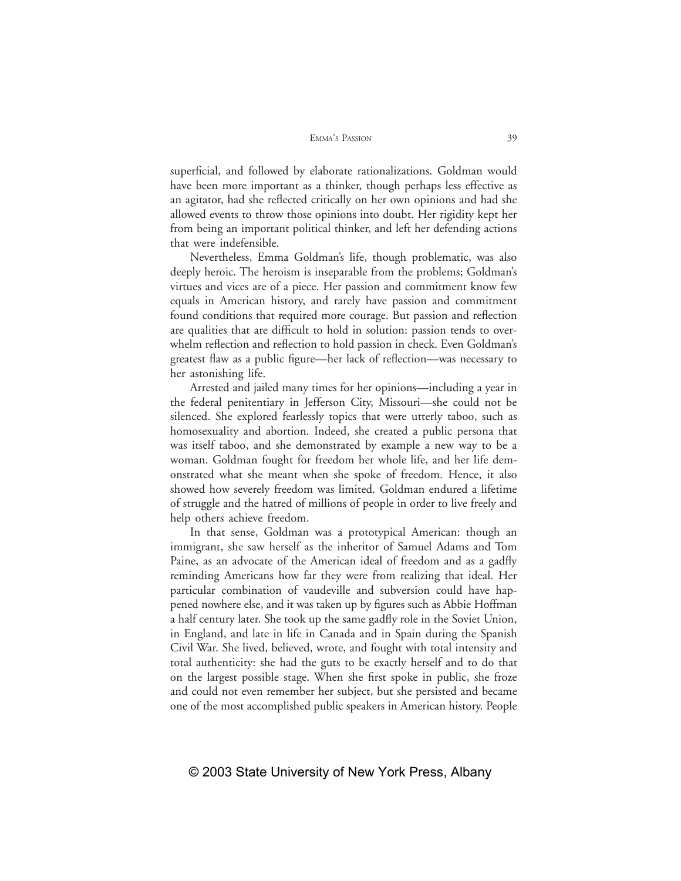superficial, and followed by elaborate rationalizations. Goldman would have been more important as a thinker, though perhaps less effective as an agitator, had she reflected critically on her own opinions and had she allowed events to throw those opinions into doubt. Her rigidity kept her from being an important political thinker, and left her defending actions that were indefensible.

Nevertheless, Emma Goldman's life, though problematic, was also deeply heroic. The heroism is inseparable from the problems; Goldman's virtues and vices are of a piece. Her passion and commitment know few equals in American history, and rarely have passion and commitment found conditions that required more courage. But passion and reflection are qualities that are difficult to hold in solution: passion tends to overwhelm reflection and reflection to hold passion in check. Even Goldman's greatest flaw as a public figure—her lack of reflection—was necessary to her astonishing life.

Arrested and jailed many times for her opinions—including a year in the federal penitentiary in Jefferson City, Missouri—she could not be silenced. She explored fearlessly topics that were utterly taboo, such as homosexuality and abortion. Indeed, she created a public persona that was itself taboo, and she demonstrated by example a new way to be a woman. Goldman fought for freedom her whole life, and her life demonstrated what she meant when she spoke of freedom. Hence, it also showed how severely freedom was limited. Goldman endured a lifetime of struggle and the hatred of millions of people in order to live freely and help others achieve freedom.

In that sense, Goldman was a prototypical American: though an immigrant, she saw herself as the inheritor of Samuel Adams and Tom Paine, as an advocate of the American ideal of freedom and as a gadfly reminding Americans how far they were from realizing that ideal. Her particular combination of vaudeville and subversion could have happened nowhere else, and it was taken up by figures such as Abbie Hoffman a half century later. She took up the same gadfly role in the Soviet Union, in England, and late in life in Canada and in Spain during the Spanish Civil War. She lived, believed, wrote, and fought with total intensity and total authenticity: she had the guts to be exactly herself and to do that on the largest possible stage. When she first spoke in public, she froze and could not even remember her subject, but she persisted and became one of the most accomplished public speakers in American history. People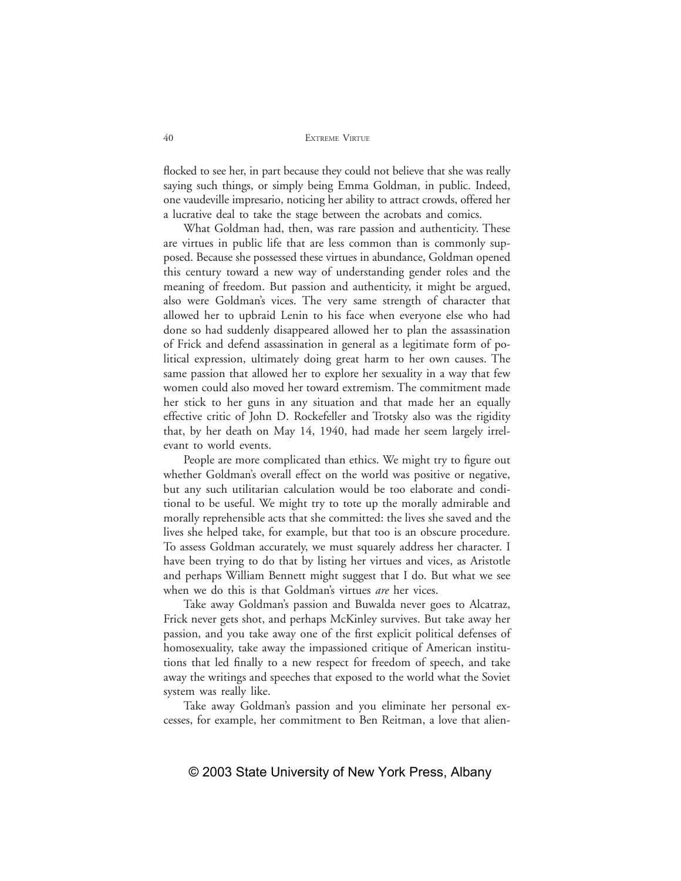flocked to see her, in part because they could not believe that she was really saying such things, or simply being Emma Goldman, in public. Indeed, one vaudeville impresario, noticing her ability to attract crowds, offered her a lucrative deal to take the stage between the acrobats and comics.

What Goldman had, then, was rare passion and authenticity. These are virtues in public life that are less common than is commonly supposed. Because she possessed these virtues in abundance, Goldman opened this century toward a new way of understanding gender roles and the meaning of freedom. But passion and authenticity, it might be argued, also were Goldman's vices. The very same strength of character that allowed her to upbraid Lenin to his face when everyone else who had done so had suddenly disappeared allowed her to plan the assassination of Frick and defend assassination in general as a legitimate form of political expression, ultimately doing great harm to her own causes. The same passion that allowed her to explore her sexuality in a way that few women could also moved her toward extremism. The commitment made her stick to her guns in any situation and that made her an equally effective critic of John D. Rockefeller and Trotsky also was the rigidity that, by her death on May 14, 1940, had made her seem largely irrelevant to world events.

People are more complicated than ethics. We might try to figure out whether Goldman's overall effect on the world was positive or negative, but any such utilitarian calculation would be too elaborate and conditional to be useful. We might try to tote up the morally admirable and morally reprehensible acts that she committed: the lives she saved and the lives she helped take, for example, but that too is an obscure procedure. To assess Goldman accurately, we must squarely address her character. I have been trying to do that by listing her virtues and vices, as Aristotle and perhaps William Bennett might suggest that I do. But what we see when we do this is that Goldman's virtues *are* her vices.

Take away Goldman's passion and Buwalda never goes to Alcatraz, Frick never gets shot, and perhaps McKinley survives. But take away her passion, and you take away one of the first explicit political defenses of homosexuality, take away the impassioned critique of American institutions that led finally to a new respect for freedom of speech, and take away the writings and speeches that exposed to the world what the Soviet system was really like.

Take away Goldman's passion and you eliminate her personal excesses, for example, her commitment to Ben Reitman, a love that alien-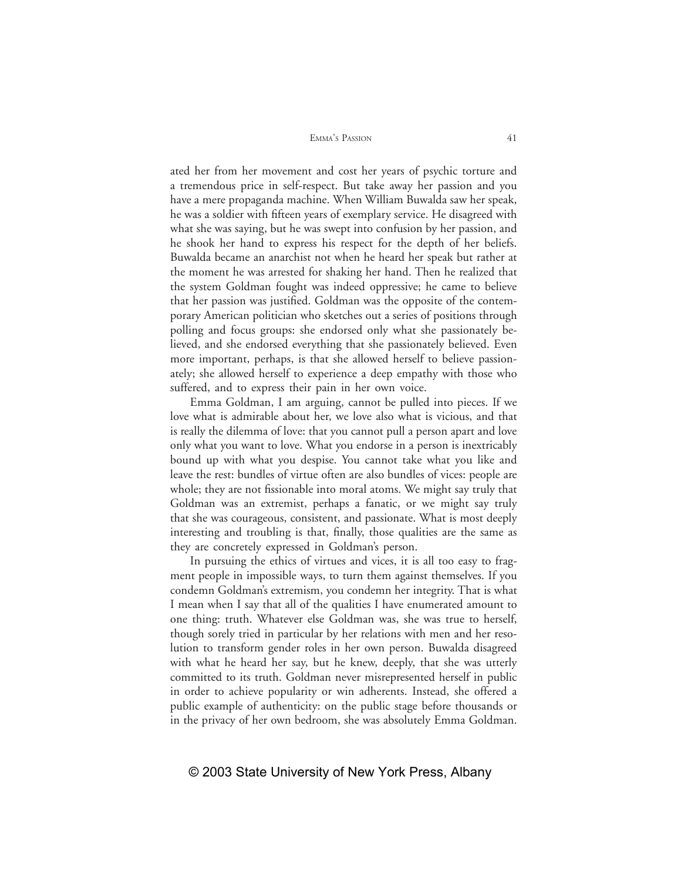ated her from her movement and cost her years of psychic torture and a tremendous price in self-respect. But take away her passion and you have a mere propaganda machine. When William Buwalda saw her speak, he was a soldier with fifteen years of exemplary service. He disagreed with what she was saying, but he was swept into confusion by her passion, and he shook her hand to express his respect for the depth of her beliefs. Buwalda became an anarchist not when he heard her speak but rather at the moment he was arrested for shaking her hand. Then he realized that the system Goldman fought was indeed oppressive; he came to believe that her passion was justified. Goldman was the opposite of the contemporary American politician who sketches out a series of positions through polling and focus groups: she endorsed only what she passionately believed, and she endorsed everything that she passionately believed. Even more important, perhaps, is that she allowed herself to believe passionately; she allowed herself to experience a deep empathy with those who suffered, and to express their pain in her own voice.

Emma Goldman, I am arguing, cannot be pulled into pieces. If we love what is admirable about her, we love also what is vicious, and that is really the dilemma of love: that you cannot pull a person apart and love only what you want to love. What you endorse in a person is inextricably bound up with what you despise. You cannot take what you like and leave the rest: bundles of virtue often are also bundles of vices: people are whole; they are not fissionable into moral atoms. We might say truly that Goldman was an extremist, perhaps a fanatic, or we might say truly that she was courageous, consistent, and passionate. What is most deeply interesting and troubling is that, finally, those qualities are the same as they are concretely expressed in Goldman's person.

In pursuing the ethics of virtues and vices, it is all too easy to fragment people in impossible ways, to turn them against themselves. If you condemn Goldman's extremism, you condemn her integrity. That is what I mean when I say that all of the qualities I have enumerated amount to one thing: truth. Whatever else Goldman was, she was true to herself, though sorely tried in particular by her relations with men and her resolution to transform gender roles in her own person. Buwalda disagreed with what he heard her say, but he knew, deeply, that she was utterly committed to its truth. Goldman never misrepresented herself in public in order to achieve popularity or win adherents. Instead, she offered a public example of authenticity: on the public stage before thousands or in the privacy of her own bedroom, she was absolutely Emma Goldman.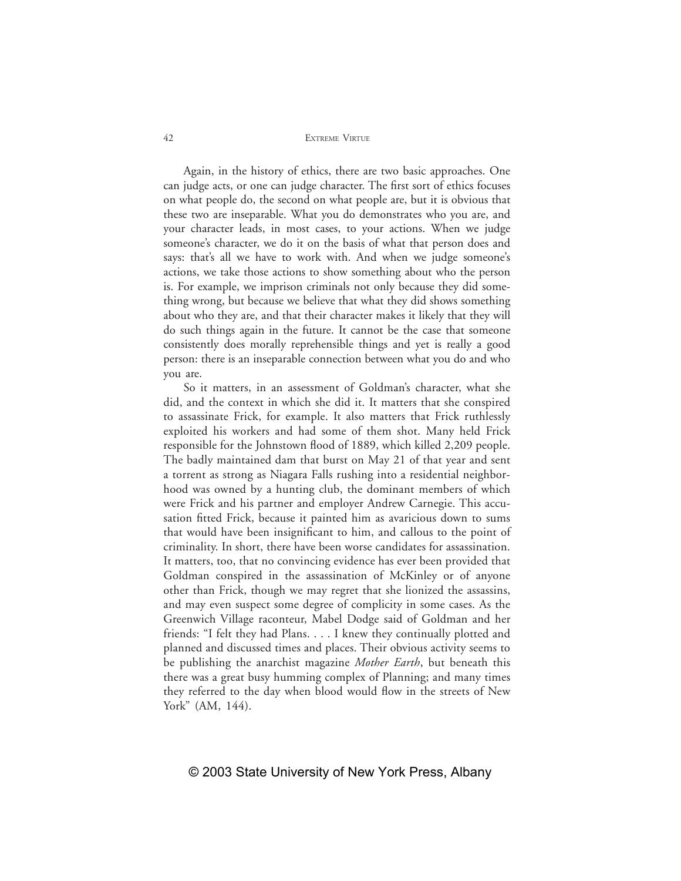Again, in the history of ethics, there are two basic approaches. One can judge acts, or one can judge character. The first sort of ethics focuses on what people do, the second on what people are, but it is obvious that these two are inseparable. What you do demonstrates who you are, and your character leads, in most cases, to your actions. When we judge someone's character, we do it on the basis of what that person does and says: that's all we have to work with. And when we judge someone's actions, we take those actions to show something about who the person is. For example, we imprison criminals not only because they did something wrong, but because we believe that what they did shows something about who they are, and that their character makes it likely that they will do such things again in the future. It cannot be the case that someone consistently does morally reprehensible things and yet is really a good person: there is an inseparable connection between what you do and who you are.

So it matters, in an assessment of Goldman's character, what she did, and the context in which she did it. It matters that she conspired to assassinate Frick, for example. It also matters that Frick ruthlessly exploited his workers and had some of them shot. Many held Frick responsible for the Johnstown flood of 1889, which killed 2,209 people. The badly maintained dam that burst on May 21 of that year and sent a torrent as strong as Niagara Falls rushing into a residential neighborhood was owned by a hunting club, the dominant members of which were Frick and his partner and employer Andrew Carnegie. This accusation fitted Frick, because it painted him as avaricious down to sums that would have been insignificant to him, and callous to the point of criminality. In short, there have been worse candidates for assassination. It matters, too, that no convincing evidence has ever been provided that Goldman conspired in the assassination of McKinley or of anyone other than Frick, though we may regret that she lionized the assassins, and may even suspect some degree of complicity in some cases. As the Greenwich Village raconteur, Mabel Dodge said of Goldman and her friends: "I felt they had Plans. . . . I knew they continually plotted and planned and discussed times and places. Their obvious activity seems to be publishing the anarchist magazine *Mother Earth*, but beneath this there was a great busy humming complex of Planning; and many times they referred to the day when blood would flow in the streets of New York" (AM, 144).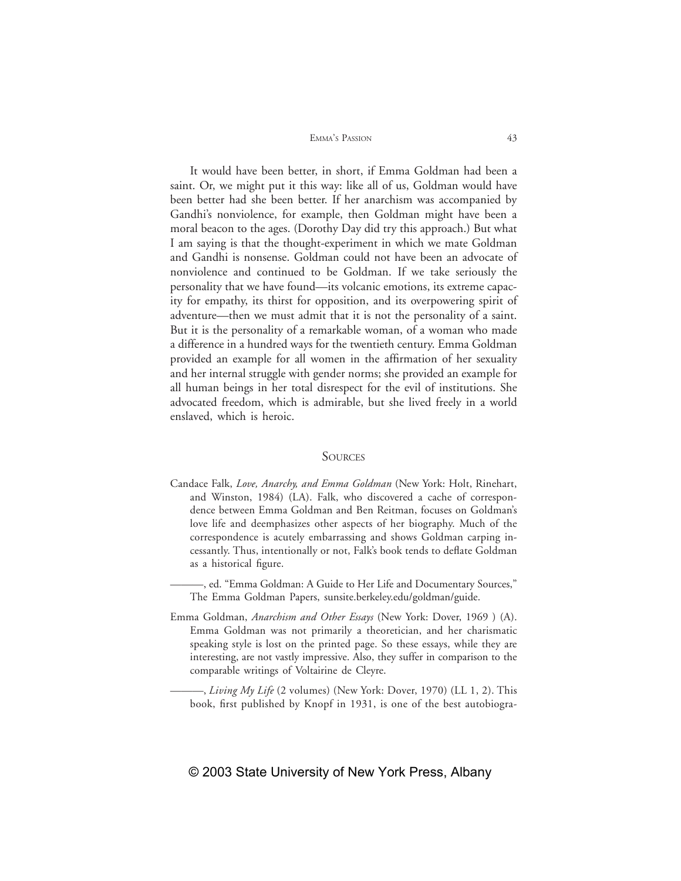It would have been better, in short, if Emma Goldman had been a saint. Or, we might put it this way: like all of us, Goldman would have been better had she been better. If her anarchism was accompanied by Gandhi's nonviolence, for example, then Goldman might have been a moral beacon to the ages. (Dorothy Day did try this approach.) But what I am saying is that the thought-experiment in which we mate Goldman and Gandhi is nonsense. Goldman could not have been an advocate of nonviolence and continued to be Goldman. If we take seriously the personality that we have found—its volcanic emotions, its extreme capacity for empathy, its thirst for opposition, and its overpowering spirit of adventure—then we must admit that it is not the personality of a saint. But it is the personality of a remarkable woman, of a woman who made a difference in a hundred ways for the twentieth century. Emma Goldman provided an example for all women in the affirmation of her sexuality and her internal struggle with gender norms; she provided an example for all human beings in her total disrespect for the evil of institutions. She advocated freedom, which is admirable, but she lived freely in a world enslaved, which is heroic.

### **SOURCES**

- Candace Falk, *Love, Anarchy, and Emma Goldman* (New York: Holt, Rinehart, and Winston, 1984) (LA). Falk, who discovered a cache of correspondence between Emma Goldman and Ben Reitman, focuses on Goldman's love life and deemphasizes other aspects of her biography. Much of the correspondence is acutely embarrassing and shows Goldman carping incessantly. Thus, intentionally or not, Falk's book tends to deflate Goldman as a historical figure.
	- ———, ed. "Emma Goldman: A Guide to Her Life and Documentary Sources," The Emma Goldman Papers, sunsite.berkeley.edu/goldman/guide.
- Emma Goldman, *Anarchism and Other Essays* (New York: Dover, 1969 ) (A). Emma Goldman was not primarily a theoretician, and her charismatic speaking style is lost on the printed page. So these essays, while they are interesting, are not vastly impressive. Also, they suffer in comparison to the comparable writings of Voltairine de Cleyre.

———, *Living My Life* (2 volumes) (New York: Dover, 1970) (LL 1, 2). This book, first published by Knopf in 1931, is one of the best autobiogra